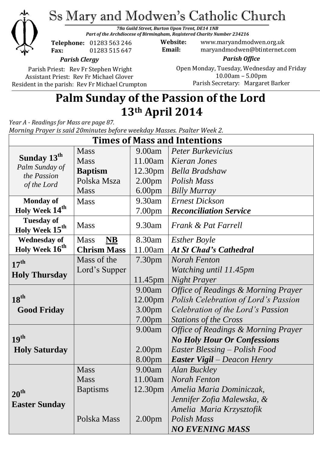

# Ss Mary and Modwen's Catholic Church

*78a Guild Street, Burton Upon Trent, DE14 1NB Part of the Archdiocese of Birmingham, Registered Charity Number 234216*

**Telephone:** 01283 563 246 **Fax:** 01283 515 647

**Website:** www.maryandmodwen.org.uk **Email:** maryandmodwen@btinternet.com

*Parish Clergy*

Parish Priest: Rev Fr Stephen Wright Assistant Priest: Rev Fr Michael Glover Resident in the parish: Rev Fr Michael Crumpton

*Parish Office* Open Monday, Tuesday, Wednesday and Friday 10.00am – 5.00pm Parish Secretary:Margaret Barker

## **Palm Sunday of the Passion of the Lord 13th April 2014**

*Year A - Readings for Mass are page 87. Morning Prayer is said 20minutes before weekday Masses. Psalter Week 2.*

| <b>Times of Mass and Intentions</b>                                     |                          |                     |                                                       |
|-------------------------------------------------------------------------|--------------------------|---------------------|-------------------------------------------------------|
| Sunday 13 <sup>th</sup><br>Palm Sunday of<br>the Passion<br>of the Lord | <b>Mass</b>              | 9.00am              | <b>Peter Burkevicius</b>                              |
|                                                                         | <b>Mass</b>              | 11.00am             | Kieran Jones                                          |
|                                                                         | <b>Baptism</b>           | 12.30 <sub>pm</sub> | <b>Bella Bradshaw</b>                                 |
|                                                                         | Polska Msza              | 2.00 <sub>pm</sub>  | Polish Mass                                           |
|                                                                         | <b>Mass</b>              | 6.00 <sub>pm</sub>  | <b>Billy Murray</b>                                   |
| <b>Monday of</b>                                                        | <b>Mass</b>              | 9.30am              | <b>Ernest Dickson</b>                                 |
| Holy Week 14 <sup>th</sup>                                              |                          | 7.00 <sub>pm</sub>  | <b>Reconciliation Service</b>                         |
| <b>Tuesday of</b>                                                       | <b>Mass</b>              | 9.30am              | <i>Frank &amp; Pat Farrell</i>                        |
| Holy Week 15 <sup>th</sup>                                              |                          |                     |                                                       |
| <b>Wednesday of</b>                                                     | <b>Mass</b><br><b>NB</b> | 8.30am              | <b>Esther Boyle</b>                                   |
| Holy Week 16 <sup>th</sup>                                              | <b>Chrism Mass</b>       | 11.00am             | <b>At St Chad's Cathedral</b>                         |
| 17 <sup>th</sup>                                                        | Mass of the              | 7.30 <sub>pm</sub>  | <b>Norah Fenton</b>                                   |
| <b>Holy Thursday</b>                                                    | Lord's Supper            |                     | Watching until 11.45pm                                |
|                                                                         |                          | 11.45pm             | <b>Night Prayer</b>                                   |
|                                                                         |                          | 9.00am              | <b>Office of Readings &amp; Morning Prayer</b>        |
| $18^{\text{th}}$                                                        |                          | 12.00pm             | Polish Celebration of Lord's Passion                  |
| <b>Good Friday</b>                                                      |                          | 3.00 <sub>pm</sub>  | Celebration of the Lord's Passion                     |
|                                                                         |                          | 7.00pm              | Stations of the Cross                                 |
|                                                                         |                          | 9.00am              | <i><b>Office of Readings &amp; Morning Prayer</b></i> |
| 19 <sup>th</sup>                                                        |                          |                     | <b>No Holy Hour Or Confessions</b>                    |
| <b>Holy Saturday</b>                                                    |                          | 2.00 <sub>pm</sub>  | Easter Blessing – Polish Food                         |
|                                                                         |                          | 8.00pm              | <b>Easter Vigil</b> – Deacon Henry                    |
| $20^{\text{th}}$<br><b>Easter Sunday</b>                                | <b>Mass</b>              | 9.00am              | <b>Alan Buckley</b>                                   |
|                                                                         | Mass                     | 11.00am             | Norah Fenton                                          |
|                                                                         | <b>Baptisms</b>          | 12.30 <sub>pm</sub> | Amelia Maria Dominiczak,                              |
|                                                                         |                          |                     | Jennifer Zofia Malewska, &                            |
|                                                                         |                          |                     | Amelia Maria Krzysztofik                              |
|                                                                         | Polska Mass              | 2.00 <sub>pm</sub>  | Polish Mass                                           |
|                                                                         |                          |                     | <b>NO EVENING MASS</b>                                |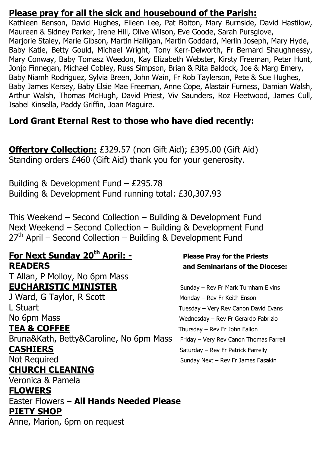### **Please pray for all the sick and housebound of the Parish:**

Kathleen Benson, David Hughes, Eileen Lee, Pat Bolton, Mary Burnside, David Hastilow, Maureen & Sidney Parker, Irene Hill, Olive Wilson, Eve Goode, Sarah Pursglove, Marjorie Staley, Marie Gibson, Martin Halligan, Martin Goddard, Merlin Joseph, Mary Hyde, Baby Katie, Betty Gould, Michael Wright, Tony Kerr-Delworth, Fr Bernard Shaughnessy, Mary Conway, Baby Tomasz Weedon, Kay Elizabeth Webster, Kirsty Freeman, Peter Hunt, Jonjo Finnegan, Michael Cobley, Russ Simpson, Brian & Rita Baldock, Joe & Marg Emery, Baby Niamh Rodriguez, Sylvia Breen, John Wain, Fr Rob Taylerson, Pete & Sue Hughes, Baby James Kersey, Baby Elsie Mae Freeman, Anne Cope, Alastair Furness, Damian Walsh, Arthur Walsh, Thomas McHugh, David Priest, Viv Saunders, Roz Fleetwood, James Cull, Isabel Kinsella, Paddy Griffin, Joan Maguire.

### **Lord Grant Eternal Rest to those who have died recently:**

**Offertory Collection:** £329.57 (non Gift Aid); £395.00 (Gift Aid) Standing orders £460 (Gift Aid) thank you for your generosity.

Building & Development Fund – £295.78 Building & Development Fund running total: £30,307.93

This Weekend – Second Collection – Building & Development Fund Next Weekend – Second Collection – Building & Development Fund  $27<sup>th</sup>$  April – Second Collection – Building & Development Fund

## **For Next Sunday 20th April: - Please Pray for the Priests READERS and Seminarians of the Diocese:**

T Allan, P Molloy, No 6pm Mass **EUCHARISTIC MINISTER** Sunday – Rev Fr Mark Turnham Elvins J Ward, G Taylor, R Scott Monday – Rev Fr Keith Enson

L Stuart **Letter Canon David Evans** Tuesday – Very Rev Canon David Evans No 6pm Mass Note and Service Controller Mass Wednesday – Rev Fr Gerardo Fabrizio **TEA & COFFEE** Thursday – Rev Fr John Fallon

Bruna&Kath, Betty&Caroline, No 6pm Mass Friday - Very Rev Canon Thomas Farrell **CASHIERS** Saturday – Rev Fr Patrick Farrelly

## **CHURCH CLEANING**

Veronica & Pamela

#### **FLOWERS**

Easter Flowers – **All Hands Needed Please PIETY SHOP**

Anne, Marion, 6pm on request

Not Required Sunday Next – Rev Fr James Fasakin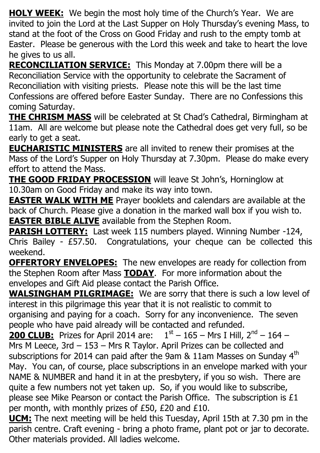**HOLY WEEK:** We begin the most holy time of the Church's Year. We are invited to join the Lord at the Last Supper on Holy Thursday's evening Mass, to stand at the foot of the Cross on Good Friday and rush to the empty tomb at Easter. Please be generous with the Lord this week and take to heart the love he gives to us all.

**RECONCILIATION SERVICE:** This Monday at 7.00pm there will be a Reconciliation Service with the opportunity to celebrate the Sacrament of Reconciliation with visiting priests. Please note this will be the last time Confessions are offered before Easter Sunday. There are no Confessions this coming Saturday.

**THE CHRISM MASS** will be celebrated at St Chad's Cathedral, Birmingham at 11am. All are welcome but please note the Cathedral does get very full, so be early to get a seat.

**EUCHARISTIC MINISTERS** are all invited to renew their promises at the Mass of the Lord's Supper on Holy Thursday at 7.30pm. Please do make every effort to attend the Mass.

**THE GOOD FRIDAY PROCESSION** will leave St John's, Horninglow at 10.30am on Good Friday and make its way into town.

**EASTER WALK WITH ME** Prayer booklets and calendars are available at the back of Church. Please give a donation in the marked wall box if you wish to. **EASTER BIBLE ALIVE** available from the Stephen Room.

**PARISH LOTTERY:** Last week 115 numbers played. Winning Number -124, Chris Bailey - £57.50. Congratulations, your cheque can be collected this weekend.

**OFFERTORY ENVELOPES:** The new envelopes are ready for collection from the Stephen Room after Mass **TODAY**. For more information about the envelopes and Gift Aid please contact the Parish Office.

**WALSINGHAM PILGRIMAGE:** We are sorry that there is such a low level of interest in this pilgrimage this year that it is not realistic to commit to organising and paying for a coach. Sorry for any inconvenience. The seven people who have paid already will be contacted and refunded.

**200 CLUB:** Prizes for April 2014 are:  $1<sup>st</sup> - 165 - Mrs$  I Hill, 2<sup>nd</sup> - 164 -Mrs M Leece, 3rd – 153 – Mrs R Taylor. April Prizes can be collected and subscriptions for 2014 can paid after the 9am  $&$  11am Masses on Sunday 4<sup>th</sup> May. You can, of course, place subscriptions in an envelope marked with your NAME & NUMBER and hand it in at the presbytery, if you so wish. There are quite a few numbers not yet taken up. So, if you would like to subscribe, please see Mike Pearson or contact the Parish Office. The subscription is £1 per month, with monthly prizes of £50, £20 and £10.

**UCM:** The next meeting will be held this Tuesday, April 15th at 7.30 pm in the parish centre. Craft evening - bring a photo frame, plant pot or jar to decorate. Other materials provided. All ladies welcome.